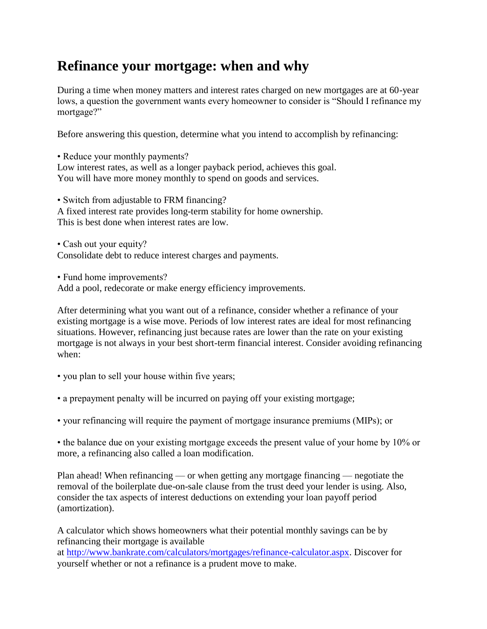## **Refinance your mortgage: when and why**

During a time when money matters and interest rates charged on new mortgages are at 60-year lows, a question the government wants every homeowner to consider is "Should I refinance my mortgage?"

Before answering this question, determine what you intend to accomplish by refinancing:

• Reduce your monthly payments? Low interest rates, as well as a longer payback period, achieves this goal. You will have more money monthly to spend on goods and services.

• Switch from adjustable to FRM financing? A fixed interest rate provides long-term stability for home ownership. This is best done when interest rates are low.

• Cash out your equity? Consolidate debt to reduce interest charges and payments.

• Fund home improvements? Add a pool, redecorate or make energy efficiency improvements.

After determining what you want out of a refinance, consider whether a refinance of your existing mortgage is a wise move. Periods of low interest rates are ideal for most refinancing situations. However, refinancing just because rates are lower than the rate on your existing mortgage is not always in your best short-term financial interest. Consider avoiding refinancing when:

• you plan to sell your house within five years;

• a prepayment penalty will be incurred on paying off your existing mortgage;

• your refinancing will require the payment of mortgage insurance premiums (MIPs); or

• the balance due on your existing mortgage exceeds the present value of your home by 10% or more, a refinancing also called a loan modification.

Plan ahead! When refinancing — or when getting any mortgage financing — negotiate the removal of the boilerplate due-on-sale clause from the trust deed your lender is using. Also, consider the tax aspects of interest deductions on extending your loan payoff period (amortization).

A calculator which shows homeowners what their potential monthly savings can be by refinancing their mortgage is available

at [http://www.bankrate.com/calculators/mortgages/refinance-calculator.aspx.](http://www.bankrate.com/calculators/mortgages/refinance-calculator.aspx) Discover for yourself whether or not a refinance is a prudent move to make.